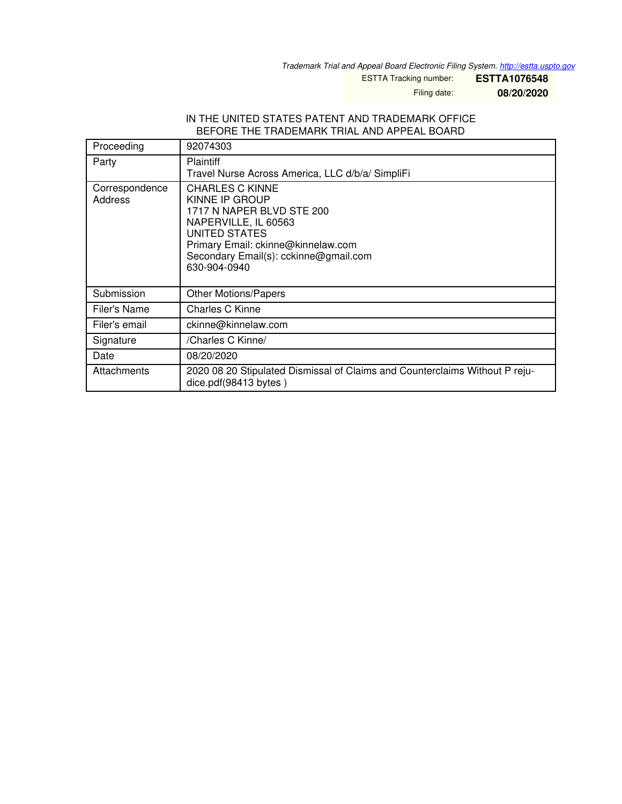*Trademark Trial and Appeal Board Electronic Filing System. <http://estta.uspto.gov>*

ESTTA Tracking number: **ESTTA1076548**

Filing date: **08/20/2020**

#### IN THE UNITED STATES PATENT AND TRADEMARK OFFICE BEFORE THE TRADEMARK TRIAL AND APPEAL BOARD

| Proceeding                | 92074303                                                                                                                                                                                                      |
|---------------------------|---------------------------------------------------------------------------------------------------------------------------------------------------------------------------------------------------------------|
| Party                     | <b>Plaintiff</b><br>Travel Nurse Across America, LLC d/b/a/ SimpliFi                                                                                                                                          |
| Correspondence<br>Address | <b>CHARLES C KINNE</b><br>KINNE IP GROUP<br>1717 N NAPER BLVD STE 200<br>NAPERVILLE, IL 60563<br>UNITED STATES<br>Primary Email: ckinne@kinnelaw.com<br>Secondary Email(s): cckinne@gmail.com<br>630-904-0940 |
| Submission                | <b>Other Motions/Papers</b>                                                                                                                                                                                   |
| Filer's Name              | Charles C Kinne                                                                                                                                                                                               |
| Filer's email             | ckinne@kinnelaw.com                                                                                                                                                                                           |
| Signature                 | /Charles C Kinne/                                                                                                                                                                                             |
| Date                      | 08/20/2020                                                                                                                                                                                                    |
| Attachments               | 2020 08 20 Stipulated Dismissal of Claims and Counterclaims Without P reju-<br>dice.pdf(98413 bytes)                                                                                                          |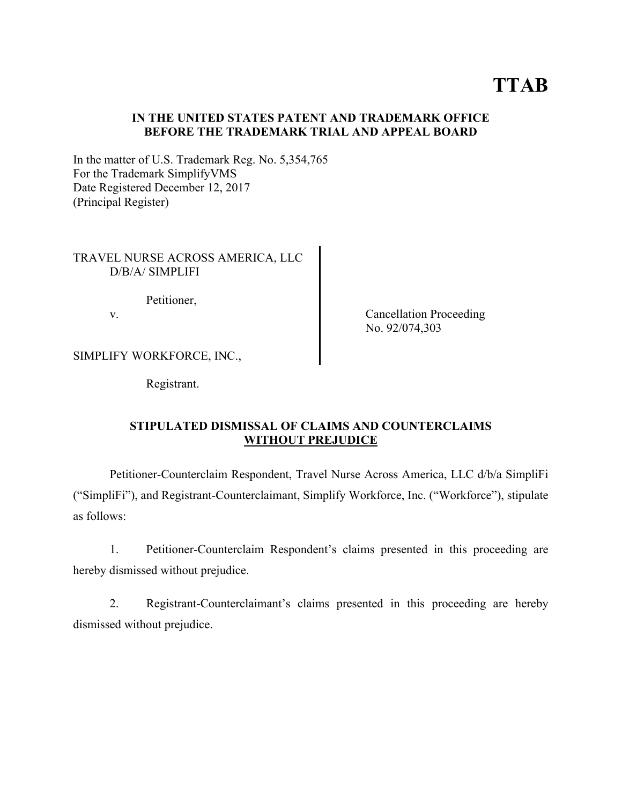# **TTAB**

## **IN THE UNITED STATES PATENT AND TRADEMARK OFFICE BEFORE THE TRADEMARK TRIAL AND APPEAL BOARD**

In the matter of U.S. Trademark Reg. No. 5,354,765 For the Trademark SimplifyVMS Date Registered December 12, 2017 (Principal Register)

### TRAVEL NURSE ACROSS AMERICA, LLC D/B/A/ SIMPLIFI

Petitioner,

v. Cancellation Proceeding No. 92/074,303

SIMPLIFY WORKFORCE, INC.,

Registrant.

# **STIPULATED DISMISSAL OF CLAIMS AND COUNTERCLAIMS WITHOUT PREJUDICE**

 Petitioner-Counterclaim Respondent, Travel Nurse Across America, LLC d/b/a SimpliFi ("SimpliFi"), and Registrant-Counterclaimant, Simplify Workforce, Inc. ("Workforce"), stipulate as follows:

 1. Petitioner-Counterclaim Respondent's claims presented in this proceeding are hereby dismissed without prejudice.

 2. Registrant-Counterclaimant's claims presented in this proceeding are hereby dismissed without prejudice.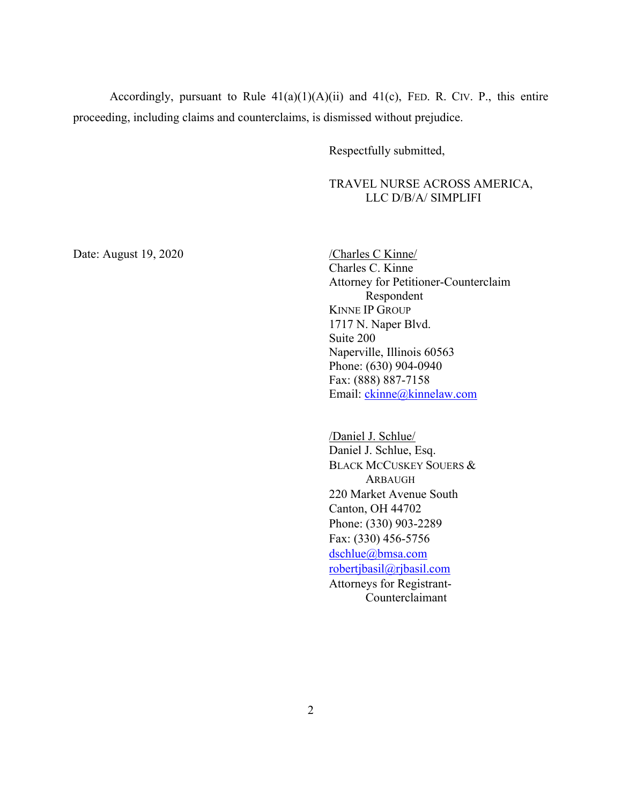Accordingly, pursuant to Rule  $41(a)(1)(A)(ii)$  and  $41(c)$ , FED. R. CIV. P., this entire proceeding, including claims and counterclaims, is dismissed without prejudice.

Respectfully submitted,

 TRAVEL NURSE ACROSS AMERICA, LLC D/B/A/ SIMPLIFI

Date: August 19, 2020 / Charles C Kinne

 Charles C. Kinne Attorney for Petitioner-Counterclaim Respondent KINNE IP GROUP 1717 N. Naper Blvd. Suite 200 Naperville, Illinois 60563 Phone: (630) 904-0940 Fax: (888) 887-7158 Email: ckinne@kinnelaw.com

 /Daniel J. Schlue/ Daniel J. Schlue, Esq. BLACK MCCUSKEY SOUERS & ARBAUGH 220 Market Avenue South Canton, OH 44702 Phone: (330) 903-2289 Fax: (330) 456-5756 dschlue@bmsa.com robertjbasil@rjbasil.com Attorneys for Registrant- Counterclaimant